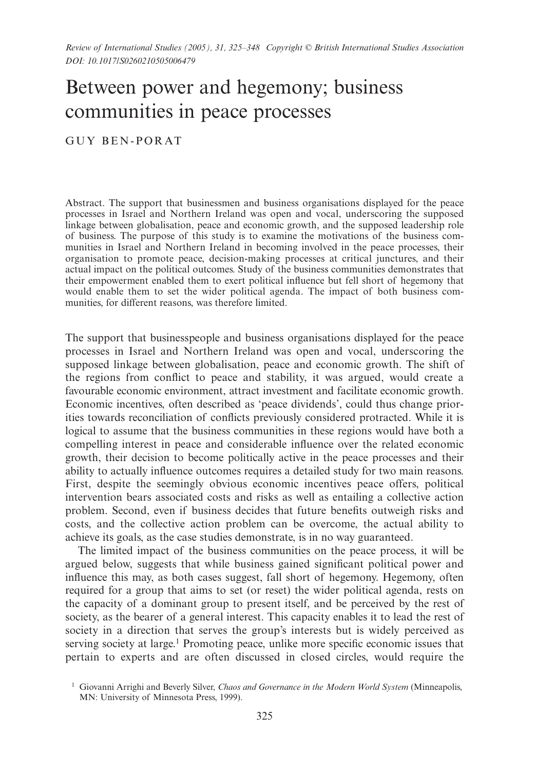# Between power and hegemony; business communities in peace processes

GUY BEN-PORAT

Abstract. The support that businessmen and business organisations displayed for the peace processes in Israel and Northern Ireland was open and vocal, underscoring the supposed linkage between globalisation, peace and economic growth, and the supposed leadership role of business. The purpose of this study is to examine the motivations of the business communities in Israel and Northern Ireland in becoming involved in the peace processes, their organisation to promote peace, decision-making processes at critical junctures, and their actual impact on the political outcomes. Study of the business communities demonstrates that their empowerment enabled them to exert political influence but fell short of hegemony that would enable them to set the wider political agenda. The impact of both business communities, for different reasons, was therefore limited.

The support that businesspeople and business organisations displayed for the peace processes in Israel and Northern Ireland was open and vocal, underscoring the supposed linkage between globalisation, peace and economic growth. The shift of the regions from conflict to peace and stability, it was argued, would create a favourable economic environment, attract investment and facilitate economic growth. Economic incentives, often described as 'peace dividends', could thus change priorities towards reconciliation of conflicts previously considered protracted. While it is logical to assume that the business communities in these regions would have both a compelling interest in peace and considerable influence over the related economic growth, their decision to become politically active in the peace processes and their ability to actually influence outcomes requires a detailed study for two main reasons. First, despite the seemingly obvious economic incentives peace offers, political intervention bears associated costs and risks as well as entailing a collective action problem. Second, even if business decides that future benefits outweigh risks and costs, and the collective action problem can be overcome, the actual ability to achieve its goals, as the case studies demonstrate, is in no way guaranteed.

The limited impact of the business communities on the peace process, it will be argued below, suggests that while business gained significant political power and influence this may, as both cases suggest, fall short of hegemony. Hegemony, often required for a group that aims to set (or reset) the wider political agenda, rests on the capacity of a dominant group to present itself, and be perceived by the rest of society, as the bearer of a general interest. This capacity enables it to lead the rest of society in a direction that serves the group's interests but is widely perceived as serving society at large.<sup>1</sup> Promoting peace, unlike more specific economic issues that pertain to experts and are often discussed in closed circles, would require the

<sup>1</sup> Giovanni Arrighi and Beverly Silver, *Chaos and Governance in the Modern World System* (Minneapolis, MN: University of Minnesota Press, 1999).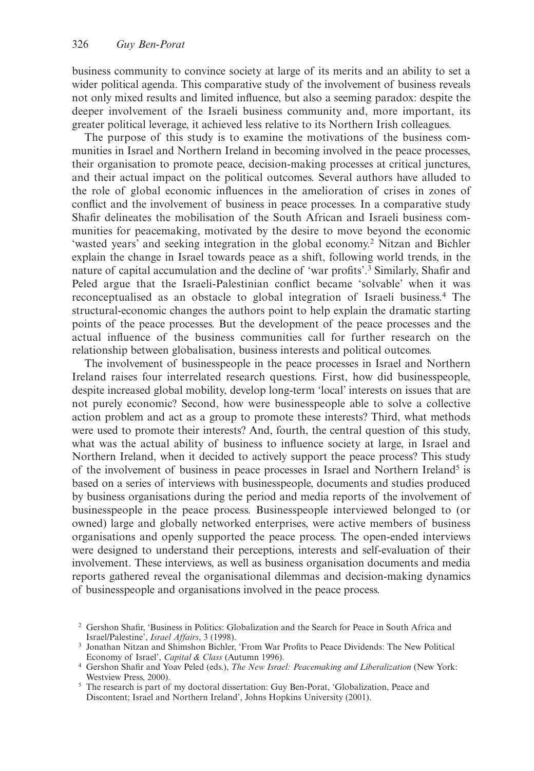business community to convince society at large of its merits and an ability to set a wider political agenda. This comparative study of the involvement of business reveals not only mixed results and limited influence, but also a seeming paradox: despite the deeper involvement of the Israeli business community and, more important, its greater political leverage, it achieved less relative to its Northern Irish colleagues.

The purpose of this study is to examine the motivations of the business communities in Israel and Northern Ireland in becoming involved in the peace processes, their organisation to promote peace, decision-making processes at critical junctures, and their actual impact on the political outcomes. Several authors have alluded to the role of global economic influences in the amelioration of crises in zones of conflict and the involvement of business in peace processes. In a comparative study Shafir delineates the mobilisation of the South African and Israeli business communities for peacemaking, motivated by the desire to move beyond the economic 'wasted years' and seeking integration in the global economy.2 Nitzan and Bichler explain the change in Israel towards peace as a shift, following world trends, in the nature of capital accumulation and the decline of 'war profits'.3 Similarly, Shafir and Peled argue that the Israeli-Palestinian conflict became 'solvable' when it was reconceptualised as an obstacle to global integration of Israeli business.4 The structural-economic changes the authors point to help explain the dramatic starting points of the peace processes. But the development of the peace processes and the actual influence of the business communities call for further research on the relationship between globalisation, business interests and political outcomes.

The involvement of businesspeople in the peace processes in Israel and Northern Ireland raises four interrelated research questions. First, how did businesspeople, despite increased global mobility, develop long-term 'local' interests on issues that are not purely economic? Second, how were businesspeople able to solve a collective action problem and act as a group to promote these interests? Third, what methods were used to promote their interests? And, fourth, the central question of this study, what was the actual ability of business to influence society at large, in Israel and Northern Ireland, when it decided to actively support the peace process? This study of the involvement of business in peace processes in Israel and Northern Ireland<sup>5</sup> is based on a series of interviews with businesspeople, documents and studies produced by business organisations during the period and media reports of the involvement of businesspeople in the peace process. Businesspeople interviewed belonged to (or owned) large and globally networked enterprises, were active members of business organisations and openly supported the peace process. The open-ended interviews were designed to understand their perceptions, interests and self-evaluation of their involvement. These interviews, as well as business organisation documents and media reports gathered reveal the organisational dilemmas and decision-making dynamics of businesspeople and organisations involved in the peace process.

<sup>2</sup> Gershon Shafir, 'Business in Politics: Globalization and the Search for Peace in South Africa and Israel/Palestine', *Israel Affairs*, 3 (1998).

<sup>3</sup> Jonathan Nitzan and Shimshon Bichler, 'From War Profits to Peace Dividends: The New Political Economy of Israel', *Capital & Class* (Autumn 1996).

<sup>4</sup> Gershon Shafir and Yoav Peled (eds.), *The New Israel: Peacemaking and Liberalization* (New York: Westview Press, 2000).

<sup>5</sup> The research is part of my doctoral dissertation: Guy Ben-Porat, 'Globalization, Peace and Discontent; Israel and Northern Ireland', Johns Hopkins University (2001).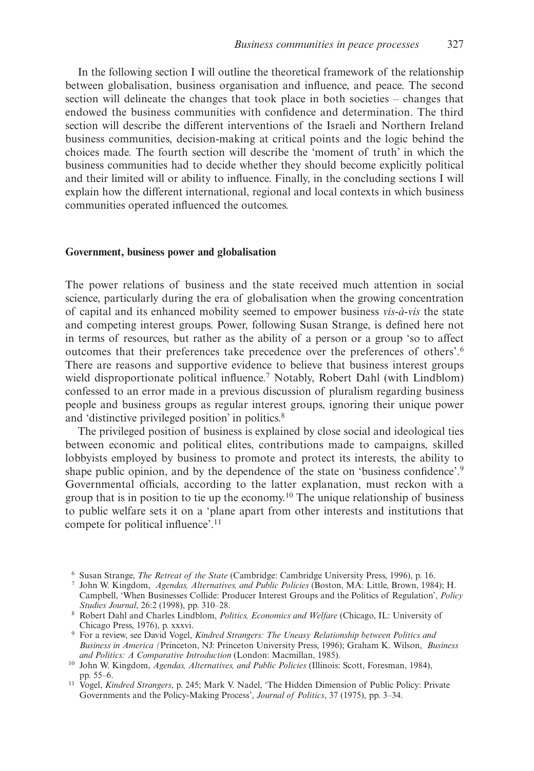In the following section I will outline the theoretical framework of the relationship between globalisation, business organisation and influence, and peace. The second section will delineate the changes that took place in both societies – changes that endowed the business communities with confidence and determination. The third section will describe the different interventions of the Israeli and Northern Ireland business communities, decision-making at critical points and the logic behind the choices made. The fourth section will describe the 'moment of truth' in which the business communities had to decide whether they should become explicitly political and their limited will or ability to influence. Finally, in the concluding sections I will explain how the different international, regional and local contexts in which business communities operated influenced the outcomes.

## **Government, business power and globalisation**

The power relations of business and the state received much attention in social science, particularly during the era of globalisation when the growing concentration of capital and its enhanced mobility seemed to empower business *vis-à-vis* the state and competing interest groups. Power, following Susan Strange, is defined here not in terms of resources, but rather as the ability of a person or a group 'so to affect outcomes that their preferences take precedence over the preferences of others'.6 There are reasons and supportive evidence to believe that business interest groups wield disproportionate political influence.<sup>7</sup> Notably, Robert Dahl (with Lindblom) confessed to an error made in a previous discussion of pluralism regarding business people and business groups as regular interest groups, ignoring their unique power and 'distinctive privileged position' in politics.8

The privileged position of business is explained by close social and ideological ties between economic and political elites, contributions made to campaigns, skilled lobbyists employed by business to promote and protect its interests, the ability to shape public opinion, and by the dependence of the state on 'business confidence'.9 Governmental officials, according to the latter explanation, must reckon with a group that is in position to tie up the economy.<sup>10</sup> The unique relationship of business to public welfare sets it on a 'plane apart from other interests and institutions that compete for political influence'.11

<sup>6</sup> Susan Strange, *The Retreat of the State* (Cambridge: Cambridge University Press, 1996), p. 16.

<sup>7</sup> John W. Kingdom, *Agendas, Alternatives, and Public Policies* (Boston, MA: Little, Brown, 1984); H. Campbell, 'When Businesses Collide: Producer Interest Groups and the Politics of Regulation', *Policy Studies Journal*, 26:2 (1998), pp. 310–28.

<sup>8</sup> Robert Dahl and Charles Lindblom, *Politics, Economics and Welfare* (Chicago, IL: University of Chicago Press, 1976), p. xxxvi.

<sup>9</sup> For a review, see David Vogel, *Kindred Strangers: The Uneasy Relationship between Politics and Business in America (*Princeton, NJ: Princeton University Press, 1996); Graham K. Wilson, *Business and Politics: A Comparative Introduction* (London: Macmillan, 1985).

<sup>10</sup> John W. Kingdom, *Agendas, Alternatives, and Public Policies* (Illinois: Scott, Foresman, 1984), pp. 55–6.

<sup>11</sup> Vogel, *Kindred Strangers*, p. 245; Mark V. Nadel, 'The Hidden Dimension of Public Policy: Private Governments and the Policy-Making Process', *Journal of Politics*, 37 (1975), pp. 3–34.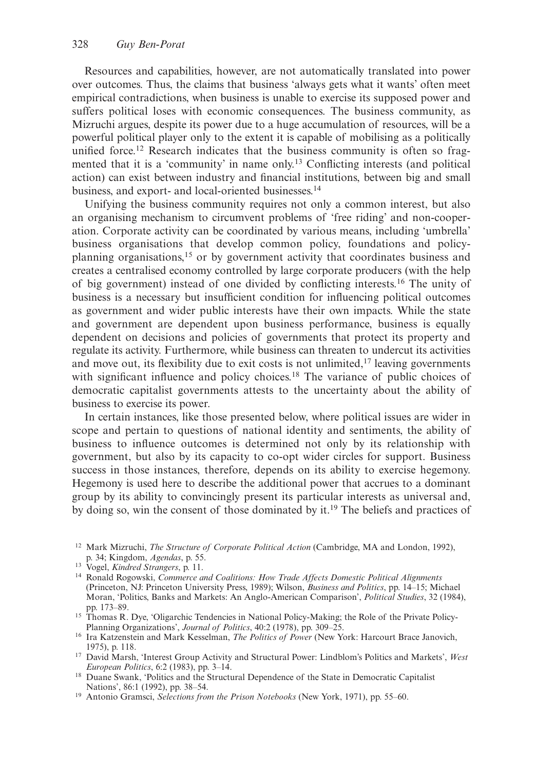Resources and capabilities, however, are not automatically translated into power over outcomes. Thus, the claims that business 'always gets what it wants' often meet empirical contradictions, when business is unable to exercise its supposed power and suffers political loses with economic consequences. The business community, as Mizruchi argues, despite its power due to a huge accumulation of resources, will be a powerful political player only to the extent it is capable of mobilising as a politically unified force.<sup>12</sup> Research indicates that the business community is often so fragmented that it is a 'community' in name only.13 Conflicting interests (and political action) can exist between industry and financial institutions, between big and small business, and export- and local-oriented businesses.14

Unifying the business community requires not only a common interest, but also an organising mechanism to circumvent problems of 'free riding' and non-cooperation. Corporate activity can be coordinated by various means, including 'umbrella' business organisations that develop common policy, foundations and policyplanning organisations,15 or by government activity that coordinates business and creates a centralised economy controlled by large corporate producers (with the help of big government) instead of one divided by conflicting interests.16 The unity of business is a necessary but insufficient condition for influencing political outcomes as government and wider public interests have their own impacts. While the state and government are dependent upon business performance, business is equally dependent on decisions and policies of governments that protect its property and regulate its activity. Furthermore, while business can threaten to undercut its activities and move out, its flexibility due to exit costs is not unlimited,  $\frac{17}{2}$  leaving governments with significant influence and policy choices.<sup>18</sup> The variance of public choices of democratic capitalist governments attests to the uncertainty about the ability of business to exercise its power.

In certain instances, like those presented below, where political issues are wider in scope and pertain to questions of national identity and sentiments, the ability of business to influence outcomes is determined not only by its relationship with government, but also by its capacity to co-opt wider circles for support. Business success in those instances, therefore, depends on its ability to exercise hegemony. Hegemony is used here to describe the additional power that accrues to a dominant group by its ability to convincingly present its particular interests as universal and, by doing so, win the consent of those dominated by it.19 The beliefs and practices of

<sup>12</sup> Mark Mizruchi, *The Structure of Corporate Political Action* (Cambridge, MA and London, 1992), p. 34; Kingdom, *Agendas*, p. 55.

<sup>13</sup> Vogel, *Kindred Strangers*, p. 11.

<sup>14</sup> Ronald Rogowski, *Commerce and Coalitions: How Trade Affects Domestic Political Alignments* (Princeton, NJ: Princeton University Press, 1989); Wilson, *Business and Politics*, pp. 14–15; Michael Moran, 'Politics, Banks and Markets: An Anglo-American Comparison', *Political Studies*, 32 (1984), pp. 173–89.

<sup>&</sup>lt;sup>15</sup> Thomas R. Dye, 'Oligarchic Tendencies in National Policy-Making; the Role of the Private Policy-Planning Organizations', *Journal of Politics*, 40:2 (1978), pp. 309–25.

<sup>16</sup> Ira Katzenstein and Mark Kesselman, *The Politics of Power* (New York: Harcourt Brace Janovich, 1975), p. 118.

<sup>17</sup> David Marsh, 'Interest Group Activity and Structural Power: Lindblom's Politics and Markets', *West European Politics*, 6:2 (1983), pp. 3–14.

<sup>&</sup>lt;sup>18</sup> Duane Swank, 'Politics and the Structural Dependence of the State in Democratic Capitalist Nations', 86:1 (1992), pp. 38–54.

<sup>19</sup> Antonio Gramsci, *Selections from the Prison Notebooks* (New York, 1971), pp. 55–60.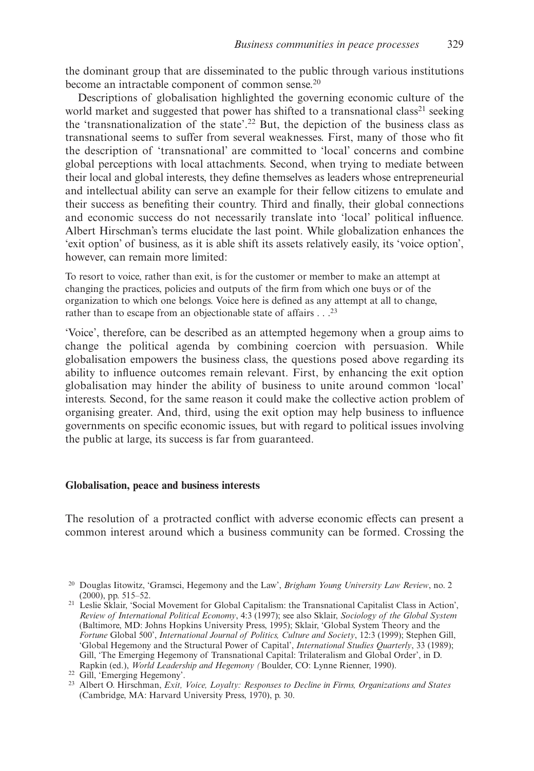the dominant group that are disseminated to the public through various institutions become an intractable component of common sense.<sup>20</sup>

Descriptions of globalisation highlighted the governing economic culture of the world market and suggested that power has shifted to a transnational class<sup>21</sup> seeking the 'transnationalization of the state'.22 But, the depiction of the business class as transnational seems to suffer from several weaknesses. First, many of those who fit the description of 'transnational' are committed to 'local' concerns and combine global perceptions with local attachments. Second, when trying to mediate between their local and global interests, they define themselves as leaders whose entrepreneurial and intellectual ability can serve an example for their fellow citizens to emulate and their success as benefiting their country. Third and finally, their global connections and economic success do not necessarily translate into 'local' political influence. Albert Hirschman's terms elucidate the last point. While globalization enhances the 'exit option' of business, as it is able shift its assets relatively easily, its 'voice option', however, can remain more limited:

To resort to voice, rather than exit, is for the customer or member to make an attempt at changing the practices, policies and outputs of the firm from which one buys or of the organization to which one belongs. Voice here is defined as any attempt at all to change, rather than to escape from an objectionable state of affairs . . .<sup>23</sup>

'Voice', therefore, can be described as an attempted hegemony when a group aims to change the political agenda by combining coercion with persuasion. While globalisation empowers the business class, the questions posed above regarding its ability to influence outcomes remain relevant. First, by enhancing the exit option globalisation may hinder the ability of business to unite around common 'local' interests. Second, for the same reason it could make the collective action problem of organising greater. And, third, using the exit option may help business to influence governments on specific economic issues, but with regard to political issues involving the public at large, its success is far from guaranteed.

## **Globalisation, peace and business interests**

The resolution of a protracted conflict with adverse economic effects can present a common interest around which a business community can be formed. Crossing the

<sup>20</sup> Douglas Iitowitz, 'Gramsci, Hegemony and the Law', *Brigham Young University Law Review*, no. 2 (2000), pp. 515–52.

<sup>21</sup> Leslie Sklair, 'Social Movement for Global Capitalism: the Transnational Capitalist Class in Action', *Review of International Political Economy*, 4:3 (1997); see also Sklair, *Sociology of the Global System* (Baltimore, MD: Johns Hopkins University Press, 1995); Sklair, 'Global System Theory and the *Fortune* Global 500', *International Journal of Politics, Culture and Society*, 12:3 (1999); Stephen Gill, 'Global Hegemony and the Structural Power of Capital', *International Studies Quarterly*, 33 (1989); Gill, 'The Emerging Hegemony of Transnational Capital: Trilateralism and Global Order', in D. Rapkin (ed.), *World Leadership and Hegemony (*Boulder, CO: Lynne Rienner, 1990).

<sup>22</sup> Gill, 'Emerging Hegemony'.

<sup>23</sup> Albert O. Hirschman, *Exit, Voice, Loyalty: Responses to Decline in Firms, Organizations and States* (Cambridge, MA: Harvard University Press, 1970), p. 30.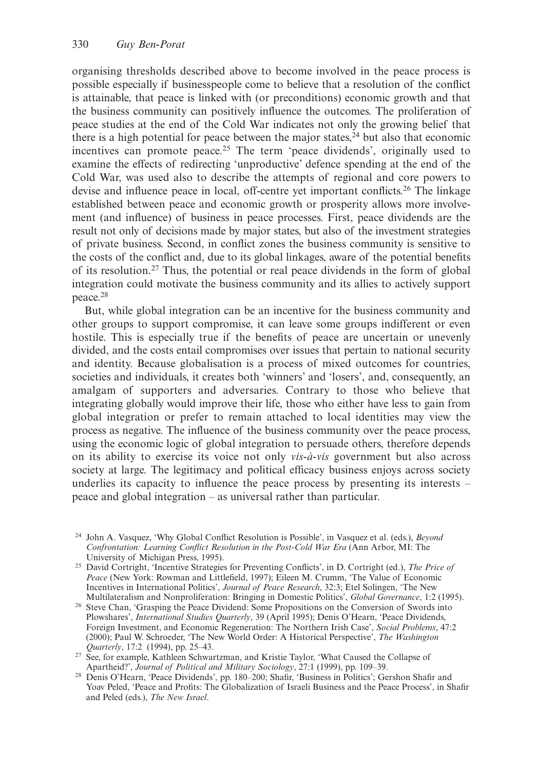organising thresholds described above to become involved in the peace process is possible especially if businesspeople come to believe that a resolution of the conflict is attainable, that peace is linked with (or preconditions) economic growth and that the business community can positively influence the outcomes. The proliferation of peace studies at the end of the Cold War indicates not only the growing belief that there is a high potential for peace between the major states, $24$  but also that economic incentives can promote peace.<sup>25</sup> The term 'peace dividends', originally used to examine the effects of redirecting 'unproductive' defence spending at the end of the Cold War, was used also to describe the attempts of regional and core powers to devise and influence peace in local, off-centre yet important conflicts.26 The linkage established between peace and economic growth or prosperity allows more involvement (and influence) of business in peace processes. First, peace dividends are the result not only of decisions made by major states, but also of the investment strategies of private business. Second, in conflict zones the business community is sensitive to the costs of the conflict and, due to its global linkages, aware of the potential benefits of its resolution.<sup>27</sup> Thus, the potential or real peace dividends in the form of global integration could motivate the business community and its allies to actively support peace.28

But, while global integration can be an incentive for the business community and other groups to support compromise, it can leave some groups indifferent or even hostile. This is especially true if the benefits of peace are uncertain or unevenly divided, and the costs entail compromises over issues that pertain to national security and identity. Because globalisation is a process of mixed outcomes for countries, societies and individuals, it creates both 'winners' and 'losers', and, consequently, an amalgam of supporters and adversaries. Contrary to those who believe that integrating globally would improve their life, those who either have less to gain from global integration or prefer to remain attached to local identities may view the process as negative. The influence of the business community over the peace process, using the economic logic of global integration to persuade others, therefore depends on its ability to exercise its voice not only *vis-à-vis* government but also across society at large. The legitimacy and political efficacy business enjoys across society underlies its capacity to influence the peace process by presenting its interests – peace and global integration – as universal rather than particular.

<sup>24</sup> John A. Vasquez, 'Why Global Conflict Resolution is Possible', in Vasquez et al. (eds.), *Beyond Confrontation: Learning Conflict Resolution in the Post-Cold War Era* (Ann Arbor, MI: The University of Michigan Press, 1995).

<sup>25</sup> David Cortright, 'Incentive Strategies for Preventing Conflicts', in D. Cortright (ed.), *The Price of Peace* (New York: Rowman and Littlefield, 1997); Eileen M. Crumm, 'The Value of Economic Incentives in International Politics', *Journal of Peace Research*, 32:3; Etel Solingen, 'The New Multilateralism and Nonproliferation: Bringing in Domestic Politics', *Global Governance*, 1:2 (1995).

<sup>26</sup> Steve Chan, 'Grasping the Peace Dividend: Some Propositions on the Conversion of Swords into Plowshares', *International Studies Quarterly*, 39 (April 1995); Denis O'Hearn, 'Peace Dividends, Foreign Investment, and Economic Regeneration: The Northern Irish Case', *Social Problems*, 47:2 (2000); Paul W. Schroeder, 'The New World Order: A Historical Perspective', *The Washington Quarterly*, 17:2 (1994), pp. 25–43.

<sup>&</sup>lt;sup>27</sup> See, for example, Kathleen Schwartzman, and Kristie Taylor, 'What Caused the Collapse of Apartheid?', *Journal of Political and Military Sociology*, 27:1 (1999), pp. 109–39.

<sup>28</sup> Denis O'Hearn, 'Peace Dividends', pp. 180–200; Shafir, 'Business in Politics'; Gershon Shafir and Yoav Peled, 'Peace and Profits: The Globalization of Israeli Business and the Peace Process', in Shafir and Peled (eds.), *The New Israel*.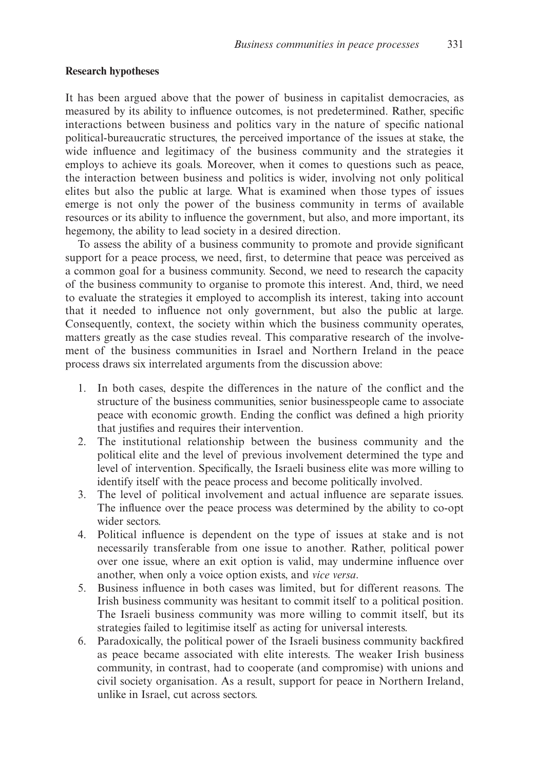## **Research hypotheses**

It has been argued above that the power of business in capitalist democracies, as measured by its ability to influence outcomes, is not predetermined. Rather, specific interactions between business and politics vary in the nature of specific national political-bureaucratic structures, the perceived importance of the issues at stake, the wide influence and legitimacy of the business community and the strategies it employs to achieve its goals. Moreover, when it comes to questions such as peace, the interaction between business and politics is wider, involving not only political elites but also the public at large. What is examined when those types of issues emerge is not only the power of the business community in terms of available resources or its ability to influence the government, but also, and more important, its hegemony, the ability to lead society in a desired direction.

To assess the ability of a business community to promote and provide significant support for a peace process, we need, first, to determine that peace was perceived as a common goal for a business community. Second, we need to research the capacity of the business community to organise to promote this interest. And, third, we need to evaluate the strategies it employed to accomplish its interest, taking into account that it needed to influence not only government, but also the public at large. Consequently, context, the society within which the business community operates, matters greatly as the case studies reveal. This comparative research of the involvement of the business communities in Israel and Northern Ireland in the peace process draws six interrelated arguments from the discussion above:

- 1. In both cases, despite the differences in the nature of the conflict and the structure of the business communities, senior businesspeople came to associate peace with economic growth. Ending the conflict was defined a high priority that justifies and requires their intervention.
- 2. The institutional relationship between the business community and the political elite and the level of previous involvement determined the type and level of intervention. Specifically, the Israeli business elite was more willing to identify itself with the peace process and become politically involved.
- 3. The level of political involvement and actual influence are separate issues. The influence over the peace process was determined by the ability to co-opt wider sectors.
- 4. Political influence is dependent on the type of issues at stake and is not necessarily transferable from one issue to another. Rather, political power over one issue, where an exit option is valid, may undermine influence over another, when only a voice option exists, and *vice versa*.
- 5. Business influence in both cases was limited, but for different reasons. The Irish business community was hesitant to commit itself to a political position. The Israeli business community was more willing to commit itself, but its strategies failed to legitimise itself as acting for universal interests.
- 6. Paradoxically, the political power of the Israeli business community backfired as peace became associated with elite interests. The weaker Irish business community, in contrast, had to cooperate (and compromise) with unions and civil society organisation. As a result, support for peace in Northern Ireland, unlike in Israel, cut across sectors.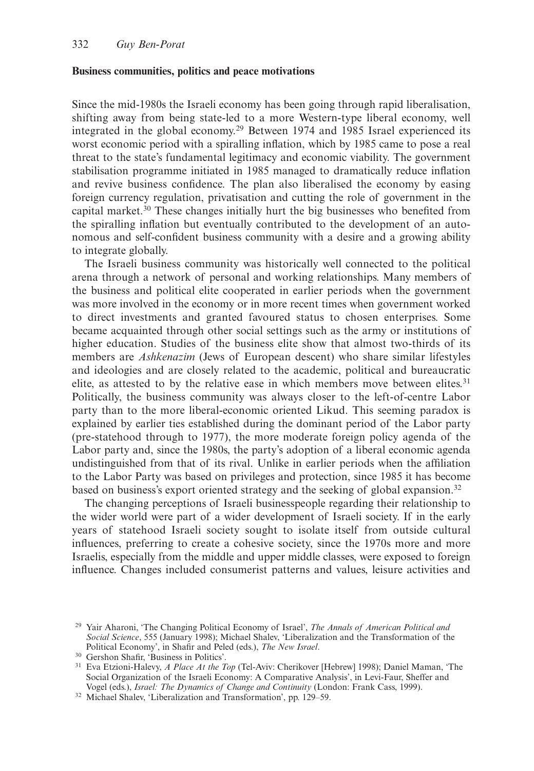#### **Business communities, politics and peace motivations**

Since the mid-1980s the Israeli economy has been going through rapid liberalisation, shifting away from being state-led to a more Western-type liberal economy, well integrated in the global economy.29 Between 1974 and 1985 Israel experienced its worst economic period with a spiralling inflation, which by 1985 came to pose a real threat to the state's fundamental legitimacy and economic viability. The government stabilisation programme initiated in 1985 managed to dramatically reduce inflation and revive business confidence. The plan also liberalised the economy by easing foreign currency regulation, privatisation and cutting the role of government in the capital market.30 These changes initially hurt the big businesses who benefited from the spiralling inflation but eventually contributed to the development of an autonomous and self-confident business community with a desire and a growing ability to integrate globally.

The Israeli business community was historically well connected to the political arena through a network of personal and working relationships. Many members of the business and political elite cooperated in earlier periods when the government was more involved in the economy or in more recent times when government worked to direct investments and granted favoured status to chosen enterprises. Some became acquainted through other social settings such as the army or institutions of higher education. Studies of the business elite show that almost two-thirds of its members are *Ashkenazim* (Jews of European descent) who share similar lifestyles and ideologies and are closely related to the academic, political and bureaucratic elite, as attested to by the relative ease in which members move between elites.<sup>31</sup> Politically, the business community was always closer to the left-of-centre Labor party than to the more liberal-economic oriented Likud. This seeming paradox is explained by earlier ties established during the dominant period of the Labor party (pre-statehood through to 1977), the more moderate foreign policy agenda of the Labor party and, since the 1980s, the party's adoption of a liberal economic agenda undistinguished from that of its rival. Unlike in earlier periods when the affiliation to the Labor Party was based on privileges and protection, since 1985 it has become based on business's export oriented strategy and the seeking of global expansion.32

The changing perceptions of Israeli businesspeople regarding their relationship to the wider world were part of a wider development of Israeli society. If in the early years of statehood Israeli society sought to isolate itself from outside cultural influences, preferring to create a cohesive society, since the 1970s more and more Israelis, especially from the middle and upper middle classes, were exposed to foreign influence. Changes included consumerist patterns and values, leisure activities and

<sup>29</sup> Yair Aharoni, 'The Changing Political Economy of Israel', *The Annals of American Political and Social Science*, 555 (January 1998); Michael Shalev, 'Liberalization and the Transformation of the Political Economy', in Shafir and Peled (eds.), *The New Israel*.

<sup>30</sup> Gershon Shafir, 'Business in Politics'.

<sup>31</sup> Eva Etzioni-Halevy, *A Place At the Top* (Tel-Aviv: Cherikover [Hebrew] 1998); Daniel Maman, 'The Social Organization of the Israeli Economy: A Comparative Analysis', in Levi-Faur, Sheffer and Vogel (eds.), *Israel: The Dynamics of Change and Continuity* (London: Frank Cass, 1999).

<sup>32</sup> Michael Shalev, 'Liberalization and Transformation', pp. 129–59.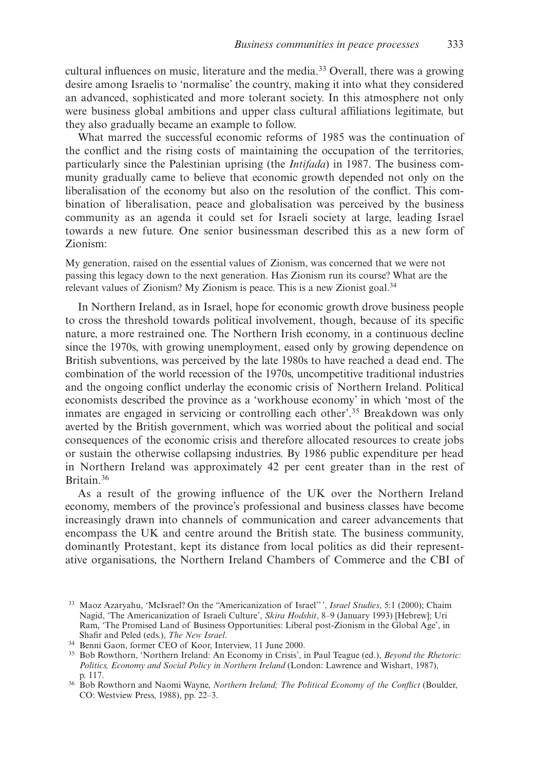cultural influences on music, literature and the media.<sup>33</sup> Overall, there was a growing desire among Israelis to 'normalise' the country, making it into what they considered an advanced, sophisticated and more tolerant society. In this atmosphere not only were business global ambitions and upper class cultural affiliations legitimate, but they also gradually became an example to follow.

What marred the successful economic reforms of 1985 was the continuation of the conflict and the rising costs of maintaining the occupation of the territories, particularly since the Palestinian uprising (the *Intifada*) in 1987. The business community gradually came to believe that economic growth depended not only on the liberalisation of the economy but also on the resolution of the conflict. This combination of liberalisation, peace and globalisation was perceived by the business community as an agenda it could set for Israeli society at large, leading Israel towards a new future. One senior businessman described this as a new form of Zionism:

My generation, raised on the essential values of Zionism, was concerned that we were not passing this legacy down to the next generation. Has Zionism run its course? What are the relevant values of Zionism? My Zionism is peace. This is a new Zionist goal.34

In Northern Ireland, as in Israel, hope for economic growth drove business people to cross the threshold towards political involvement, though, because of its specific nature, a more restrained one. The Northern Irish economy, in a continuous decline since the 1970s, with growing unemployment, eased only by growing dependence on British subventions, was perceived by the late 1980s to have reached a dead end. The combination of the world recession of the 1970s, uncompetitive traditional industries and the ongoing conflict underlay the economic crisis of Northern Ireland. Political economists described the province as a 'workhouse economy' in which 'most of the inmates are engaged in servicing or controlling each other'.35 Breakdown was only averted by the British government, which was worried about the political and social consequences of the economic crisis and therefore allocated resources to create jobs or sustain the otherwise collapsing industries. By 1986 public expenditure per head in Northern Ireland was approximately 42 per cent greater than in the rest of Britain.36

As a result of the growing influence of the UK over the Northern Ireland economy, members of the province's professional and business classes have become increasingly drawn into channels of communication and career advancements that encompass the UK and centre around the British state. The business community, dominantly Protestant, kept its distance from local politics as did their representative organisations, the Northern Ireland Chambers of Commerce and the CBI of

<sup>33</sup> Maoz Azaryahu, 'McIsrael? On the "Americanization of Israel'' ', *Israel Studies*, 5:1 (2000); Chaim Nagid, 'The Americanization of Israeli Culture', *Skira Hodshit*, 8–9 (January 1993) [Hebrew]; Uri Ram, 'The Promised Land of Business Opportunities: Liberal post-Zionism in the Global Age', in Shafir and Peled (eds.), *The New Israel*.

<sup>34</sup> Benni Gaon, former CEO of Koor, Interview, 11 June 2000.

<sup>35</sup> Bob Rowthorn, 'Northern Ireland: An Economy in Crisis', in Paul Teague (ed.), *Beyond the Rhetoric: Politics, Economy and Social Policy in Northern Ireland* (London: Lawrence and Wishart, 1987), p. 117.

<sup>36</sup> Bob Rowthorn and Naomi Wayne, *Northern Ireland; The Political Economy of the Conflict* (Boulder, CO: Westview Press, 1988), pp. 22–3.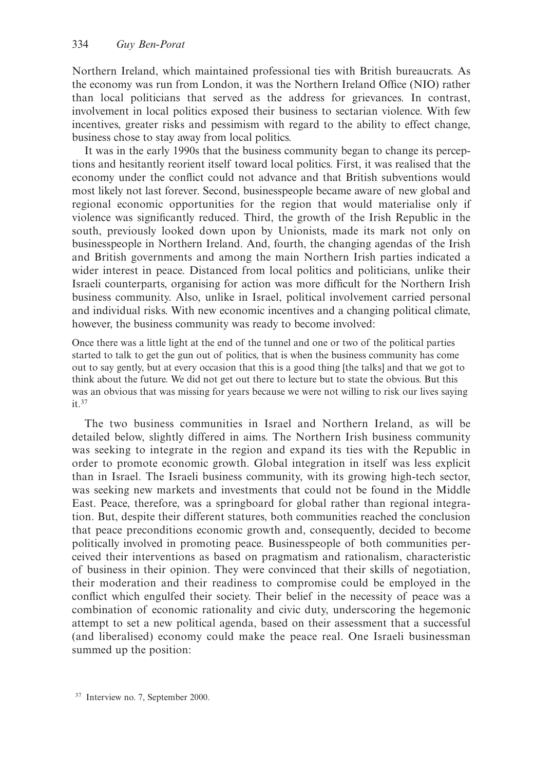Northern Ireland, which maintained professional ties with British bureaucrats. As the economy was run from London, it was the Northern Ireland Office (NIO) rather than local politicians that served as the address for grievances. In contrast, involvement in local politics exposed their business to sectarian violence. With few incentives, greater risks and pessimism with regard to the ability to effect change, business chose to stay away from local politics.

It was in the early 1990s that the business community began to change its perceptions and hesitantly reorient itself toward local politics. First, it was realised that the economy under the conflict could not advance and that British subventions would most likely not last forever. Second, businesspeople became aware of new global and regional economic opportunities for the region that would materialise only if violence was significantly reduced. Third, the growth of the Irish Republic in the south, previously looked down upon by Unionists, made its mark not only on businesspeople in Northern Ireland. And, fourth, the changing agendas of the Irish and British governments and among the main Northern Irish parties indicated a wider interest in peace. Distanced from local politics and politicians, unlike their Israeli counterparts, organising for action was more difficult for the Northern Irish business community. Also, unlike in Israel, political involvement carried personal and individual risks. With new economic incentives and a changing political climate, however, the business community was ready to become involved:

Once there was a little light at the end of the tunnel and one or two of the political parties started to talk to get the gun out of politics, that is when the business community has come out to say gently, but at every occasion that this is a good thing [the talks] and that we got to think about the future. We did not get out there to lecture but to state the obvious. But this was an obvious that was missing for years because we were not willing to risk our lives saying it.37

The two business communities in Israel and Northern Ireland, as will be detailed below, slightly differed in aims. The Northern Irish business community was seeking to integrate in the region and expand its ties with the Republic in order to promote economic growth. Global integration in itself was less explicit than in Israel. The Israeli business community, with its growing high-tech sector, was seeking new markets and investments that could not be found in the Middle East. Peace, therefore, was a springboard for global rather than regional integration. But, despite their different statures, both communities reached the conclusion that peace preconditions economic growth and, consequently, decided to become politically involved in promoting peace. Businesspeople of both communities perceived their interventions as based on pragmatism and rationalism, characteristic of business in their opinion. They were convinced that their skills of negotiation, their moderation and their readiness to compromise could be employed in the conflict which engulfed their society. Their belief in the necessity of peace was a combination of economic rationality and civic duty, underscoring the hegemonic attempt to set a new political agenda, based on their assessment that a successful (and liberalised) economy could make the peace real. One Israeli businessman summed up the position:

<sup>37</sup> Interview no. 7, September 2000.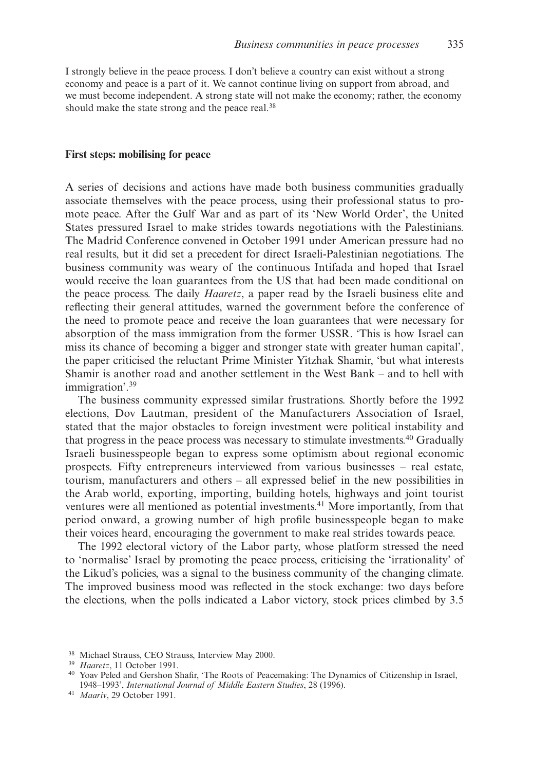I strongly believe in the peace process. I don't believe a country can exist without a strong economy and peace is a part of it. We cannot continue living on support from abroad, and we must become independent. A strong state will not make the economy; rather, the economy should make the state strong and the peace real.<sup>38</sup>

#### **First steps: mobilising for peace**

A series of decisions and actions have made both business communities gradually associate themselves with the peace process, using their professional status to promote peace. After the Gulf War and as part of its 'New World Order', the United States pressured Israel to make strides towards negotiations with the Palestinians. The Madrid Conference convened in October 1991 under American pressure had no real results, but it did set a precedent for direct Israeli-Palestinian negotiations. The business community was weary of the continuous Intifada and hoped that Israel would receive the loan guarantees from the US that had been made conditional on the peace process. The daily *Haaretz*, a paper read by the Israeli business elite and reflecting their general attitudes, warned the government before the conference of the need to promote peace and receive the loan guarantees that were necessary for absorption of the mass immigration from the former USSR. 'This is how Israel can miss its chance of becoming a bigger and stronger state with greater human capital', the paper criticised the reluctant Prime Minister Yitzhak Shamir, 'but what interests Shamir is another road and another settlement in the West Bank – and to hell with immigration'.39

The business community expressed similar frustrations. Shortly before the 1992 elections, Dov Lautman, president of the Manufacturers Association of Israel, stated that the major obstacles to foreign investment were political instability and that progress in the peace process was necessary to stimulate investments.40 Gradually Israeli businesspeople began to express some optimism about regional economic prospects. Fifty entrepreneurs interviewed from various businesses – real estate, tourism, manufacturers and others – all expressed belief in the new possibilities in the Arab world, exporting, importing, building hotels, highways and joint tourist ventures were all mentioned as potential investments.41 More importantly, from that period onward, a growing number of high profile businesspeople began to make their voices heard, encouraging the government to make real strides towards peace.

The 1992 electoral victory of the Labor party, whose platform stressed the need to 'normalise' Israel by promoting the peace process, criticising the 'irrationality' of the Likud's policies, was a signal to the business community of the changing climate. The improved business mood was reflected in the stock exchange: two days before the elections, when the polls indicated a Labor victory, stock prices climbed by 3.5

<sup>38</sup> Michael Strauss, CEO Strauss, Interview May 2000.

<sup>39</sup> *Haaretz*, 11 October 1991.

<sup>40</sup> Yoav Peled and Gershon Shafir, 'The Roots of Peacemaking: The Dynamics of Citizenship in Israel, 1948–1993', *International Journal of Middle Eastern Studies*, 28 (1996).

<sup>41</sup> *Maariv*, 29 October 1991.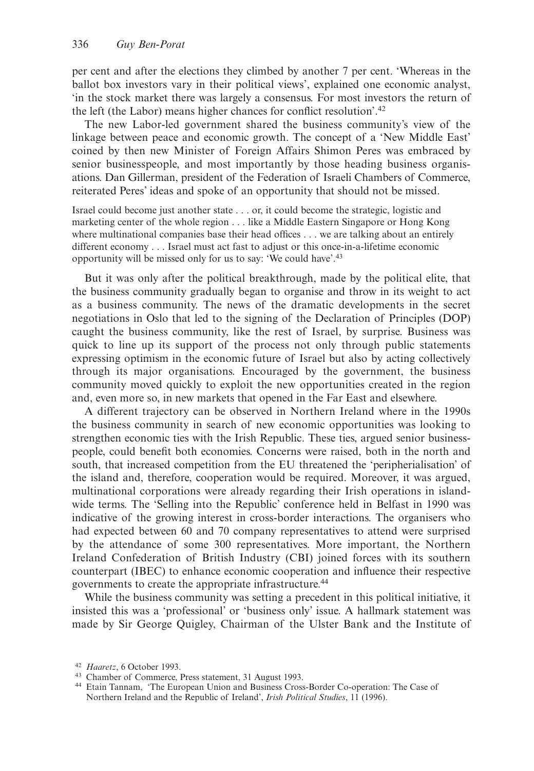per cent and after the elections they climbed by another 7 per cent. 'Whereas in the ballot box investors vary in their political views', explained one economic analyst, 'in the stock market there was largely a consensus. For most investors the return of the left (the Labor) means higher chances for conflict resolution'.42

The new Labor-led government shared the business community's view of the linkage between peace and economic growth. The concept of a 'New Middle East' coined by then new Minister of Foreign Affairs Shimon Peres was embraced by senior businesspeople, and most importantly by those heading business organisations. Dan Gillerman, president of the Federation of Israeli Chambers of Commerce, reiterated Peres' ideas and spoke of an opportunity that should not be missed.

Israel could become just another state . . . or, it could become the strategic, logistic and marketing center of the whole region . . . like a Middle Eastern Singapore or Hong Kong where multinational companies base their head offices . . . we are talking about an entirely different economy . . . Israel must act fast to adjust or this once-in-a-lifetime economic opportunity will be missed only for us to say: 'We could have'.43

But it was only after the political breakthrough, made by the political elite, that the business community gradually began to organise and throw in its weight to act as a business community. The news of the dramatic developments in the secret negotiations in Oslo that led to the signing of the Declaration of Principles (DOP) caught the business community, like the rest of Israel, by surprise. Business was quick to line up its support of the process not only through public statements expressing optimism in the economic future of Israel but also by acting collectively through its major organisations. Encouraged by the government, the business community moved quickly to exploit the new opportunities created in the region and, even more so, in new markets that opened in the Far East and elsewhere.

A different trajectory can be observed in Northern Ireland where in the 1990s the business community in search of new economic opportunities was looking to strengthen economic ties with the Irish Republic. These ties, argued senior businesspeople, could benefit both economies. Concerns were raised, both in the north and south, that increased competition from the EU threatened the 'peripherialisation' of the island and, therefore, cooperation would be required. Moreover, it was argued, multinational corporations were already regarding their Irish operations in islandwide terms. The 'Selling into the Republic' conference held in Belfast in 1990 was indicative of the growing interest in cross-border interactions. The organisers who had expected between 60 and 70 company representatives to attend were surprised by the attendance of some 300 representatives. More important, the Northern Ireland Confederation of British Industry (CBI) joined forces with its southern counterpart (IBEC) to enhance economic cooperation and influence their respective governments to create the appropriate infrastructure.44

While the business community was setting a precedent in this political initiative, it insisted this was a 'professional' or 'business only' issue. A hallmark statement was made by Sir George Quigley, Chairman of the Ulster Bank and the Institute of

<sup>42</sup> *Haaretz*, 6 October 1993.

<sup>43</sup> Chamber of Commerce, Press statement, 31 August 1993.

<sup>44</sup> Etain Tannam, 'The European Union and Business Cross-Border Co-operation: The Case of Northern Ireland and the Republic of Ireland', *Irish Political Studies*, 11 (1996).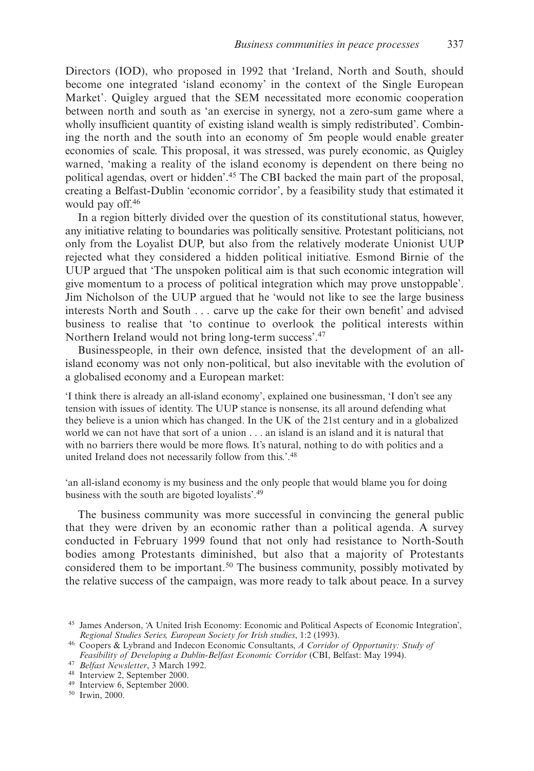Directors (IOD), who proposed in 1992 that 'Ireland, North and South, should become one integrated 'island economy' in the context of the Single European Market'. Quigley argued that the SEM necessitated more economic cooperation between north and south as 'an exercise in synergy, not a zero-sum game where a wholly insufficient quantity of existing island wealth is simply redistributed'. Combining the north and the south into an economy of 5m people would enable greater economies of scale. This proposal, it was stressed, was purely economic, as Quigley warned, 'making a reality of the island economy is dependent on there being no political agendas, overt or hidden'.45 The CBI backed the main part of the proposal, creating a Belfast-Dublin 'economic corridor', by a feasibility study that estimated it would pay off.46

In a region bitterly divided over the question of its constitutional status, however, any initiative relating to boundaries was politically sensitive. Protestant politicians, not only from the Loyalist DUP, but also from the relatively moderate Unionist UUP rejected what they considered a hidden political initiative. Esmond Birnie of the UUP argued that 'The unspoken political aim is that such economic integration will give momentum to a process of political integration which may prove unstoppable'. Jim Nicholson of the UUP argued that he 'would not like to see the large business interests North and South . . . carve up the cake for their own benefit' and advised business to realise that 'to continue to overlook the political interests within Northern Ireland would not bring long-term success'.47

Businesspeople, in their own defence, insisted that the development of an allisland economy was not only non-political, but also inevitable with the evolution of a globalised economy and a European market:

'I think there is already an all-island economy', explained one businessman, 'I don't see any tension with issues of identity. The UUP stance is nonsense, its all around defending what they believe is a union which has changed. In the UK of the 21st century and in a globalized world we can not have that sort of a union . . . an island is an island and it is natural that with no barriers there would be more flows. It's natural, nothing to do with politics and a united Ireland does not necessarily follow from this.'.<sup>48</sup>

'an all-island economy is my business and the only people that would blame you for doing business with the south are bigoted loyalists'.49

The business community was more successful in convincing the general public that they were driven by an economic rather than a political agenda. A survey conducted in February 1999 found that not only had resistance to North-South bodies among Protestants diminished, but also that a majority of Protestants considered them to be important.<sup>50</sup> The business community, possibly motivated by the relative success of the campaign, was more ready to talk about peace. In a survey

<sup>50</sup> Irwin, 2000.

<sup>45</sup> James Anderson, 'A United Irish Economy: Economic and Political Aspects of Economic Integration', *Regional Studies Series, European Society for Irish studies*, 1:2 (1993).

<sup>46</sup> Coopers & Lybrand and Indecon Economic Consultants, *A Corridor of Opportunity: Study of Feasibility of Developing a Dublin-Belfast Economic Corridor* (CBI, Belfast: May 1994).

<sup>47</sup> *Belfast Newsletter*, 3 March 1992.

<sup>48</sup> Interview 2, September 2000.

<sup>49</sup> Interview 6, September 2000.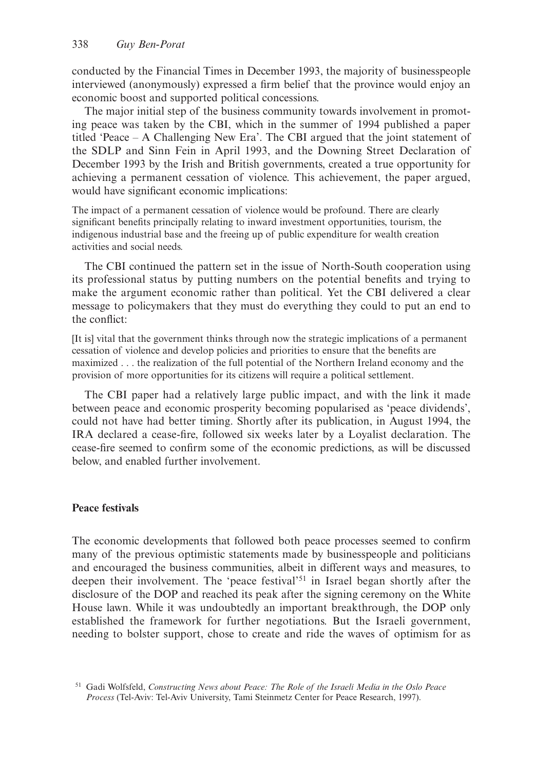conducted by the Financial Times in December 1993, the majority of businesspeople interviewed (anonymously) expressed a firm belief that the province would enjoy an economic boost and supported political concessions.

The major initial step of the business community towards involvement in promoting peace was taken by the CBI, which in the summer of 1994 published a paper titled 'Peace – A Challenging New Era'. The CBI argued that the joint statement of the SDLP and Sinn Fein in April 1993, and the Downing Street Declaration of December 1993 by the Irish and British governments, created a true opportunity for achieving a permanent cessation of violence. This achievement, the paper argued, would have significant economic implications:

The impact of a permanent cessation of violence would be profound. There are clearly significant benefits principally relating to inward investment opportunities, tourism, the indigenous industrial base and the freeing up of public expenditure for wealth creation activities and social needs.

The CBI continued the pattern set in the issue of North-South cooperation using its professional status by putting numbers on the potential benefits and trying to make the argument economic rather than political. Yet the CBI delivered a clear message to policymakers that they must do everything they could to put an end to the conflict:

[It is] vital that the government thinks through now the strategic implications of a permanent cessation of violence and develop policies and priorities to ensure that the benefits are maximized . . . the realization of the full potential of the Northern Ireland economy and the provision of more opportunities for its citizens will require a political settlement.

The CBI paper had a relatively large public impact, and with the link it made between peace and economic prosperity becoming popularised as 'peace dividends', could not have had better timing. Shortly after its publication, in August 1994, the IRA declared a cease-fire, followed six weeks later by a Loyalist declaration. The cease-fire seemed to confirm some of the economic predictions, as will be discussed below, and enabled further involvement.

# **Peace festivals**

The economic developments that followed both peace processes seemed to confirm many of the previous optimistic statements made by businesspeople and politicians and encouraged the business communities, albeit in different ways and measures, to deepen their involvement. The 'peace festival'51 in Israel began shortly after the disclosure of the DOP and reached its peak after the signing ceremony on the White House lawn. While it was undoubtedly an important breakthrough, the DOP only established the framework for further negotiations. But the Israeli government, needing to bolster support, chose to create and ride the waves of optimism for as

<sup>51</sup> Gadi Wolfsfeld, *Constructing News about Peace: The Role of the Israeli Media in the Oslo Peace Process* (Tel-Aviv: Tel-Aviv University, Tami Steinmetz Center for Peace Research, 1997).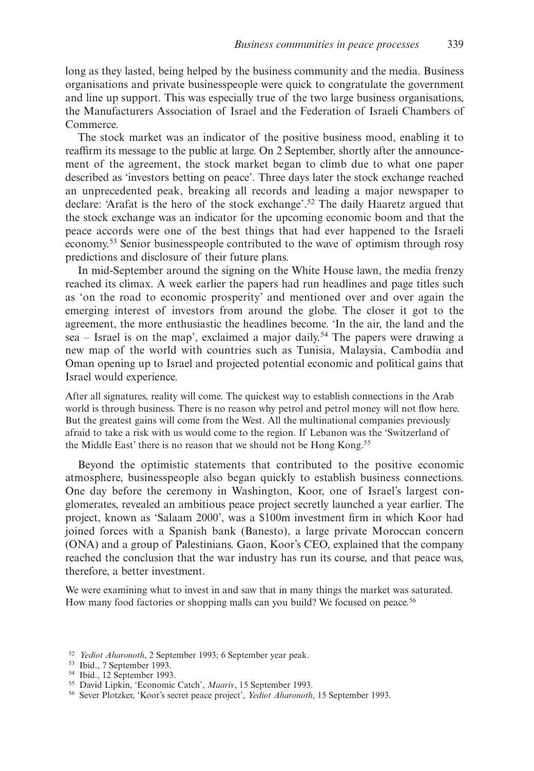long as they lasted, being helped by the business community and the media. Business organisations and private businesspeople were quick to congratulate the government and line up support. This was especially true of the two large business organisations, the Manufacturers Association of Israel and the Federation of Israeli Chambers of Commerce.

The stock market was an indicator of the positive business mood, enabling it to reaffirm its message to the public at large. On 2 September, shortly after the announcement of the agreement, the stock market began to climb due to what one paper described as 'investors betting on peace'. Three days later the stock exchange reached an unprecedented peak, breaking all records and leading a major newspaper to declare: 'Arafat is the hero of the stock exchange'.52 The daily Haaretz argued that the stock exchange was an indicator for the upcoming economic boom and that the peace accords were one of the best things that had ever happened to the Israeli economy.53 Senior businesspeople contributed to the wave of optimism through rosy predictions and disclosure of their future plans.

In mid-September around the signing on the White House lawn, the media frenzy reached its climax. A week earlier the papers had run headlines and page titles such as 'on the road to economic prosperity' and mentioned over and over again the emerging interest of investors from around the globe. The closer it got to the agreement, the more enthusiastic the headlines become. 'In the air, the land and the sea – Israel is on the map', exclaimed a major daily.<sup>54</sup> The papers were drawing a new map of the world with countries such as Tunisia, Malaysia, Cambodia and Oman opening up to Israel and projected potential economic and political gains that Israel would experience.

After all signatures, reality will come. The quickest way to establish connections in the Arab world is through business. There is no reason why petrol and petrol money will not flow here. But the greatest gains will come from the West. All the multinational companies previously afraid to take a risk with us would come to the region. If Lebanon was the 'Switzerland of the Middle East' there is no reason that we should not be Hong Kong.<sup>55</sup>

Beyond the optimistic statements that contributed to the positive economic atmosphere, businesspeople also began quickly to establish business connections. One day before the ceremony in Washington, Koor, one of Israel's largest conglomerates, revealed an ambitious peace project secretly launched a year earlier. The project, known as 'Salaam 2000', was a \$100m investment firm in which Koor had joined forces with a Spanish bank (Banesto), a large private Moroccan concern (ONA) and a group of Palestinians. Gaon, Koor's CEO, explained that the company reached the conclusion that the war industry has run its course, and that peace was, therefore, a better investment.

We were examining what to invest in and saw that in many things the market was saturated. How many food factories or shopping malls can you build? We focused on peace.<sup>56</sup>

- <sup>52</sup> *Yediot Aharonoth*, 2 September 1993; 6 September year peak.
- <sup>53</sup> Ibid., 7 September 1993.
- <sup>54</sup> Ibid., 12 September 1993.

<sup>55</sup> David Lipkin, 'Economic Catch', *Maariv*, 15 September 1993.

<sup>56</sup> Sever Plotzker, 'Koor's secret peace project', *Yediot Aharonoth*, 15 September 1993.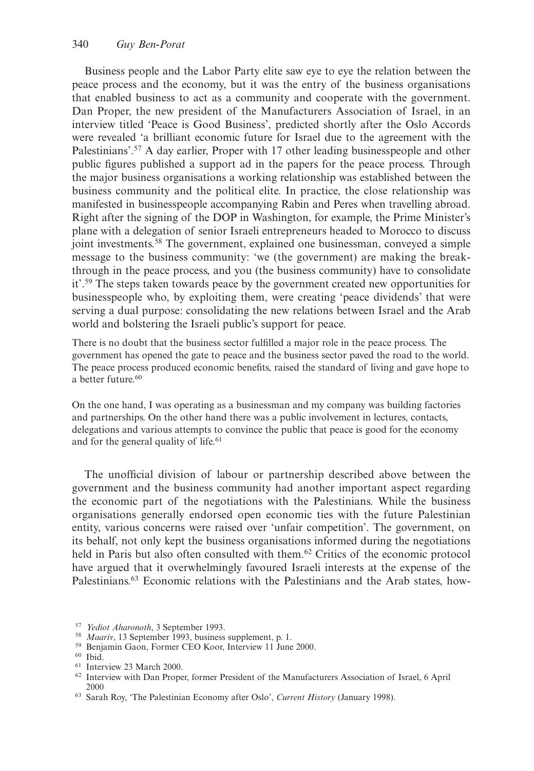Business people and the Labor Party elite saw eye to eye the relation between the peace process and the economy, but it was the entry of the business organisations that enabled business to act as a community and cooperate with the government. Dan Proper, the new president of the Manufacturers Association of Israel, in an interview titled 'Peace is Good Business', predicted shortly after the Oslo Accords were revealed 'a brilliant economic future for Israel due to the agreement with the Palestinians'.<sup>57</sup> A day earlier, Proper with 17 other leading businesspeople and other public figures published a support ad in the papers for the peace process. Through the major business organisations a working relationship was established between the business community and the political elite. In practice, the close relationship was manifested in businesspeople accompanying Rabin and Peres when travelling abroad. Right after the signing of the DOP in Washington, for example, the Prime Minister's plane with a delegation of senior Israeli entrepreneurs headed to Morocco to discuss joint investments.58 The government, explained one businessman, conveyed a simple message to the business community: 'we (the government) are making the breakthrough in the peace process, and you (the business community) have to consolidate it'.59 The steps taken towards peace by the government created new opportunities for businesspeople who, by exploiting them, were creating 'peace dividends' that were serving a dual purpose: consolidating the new relations between Israel and the Arab world and bolstering the Israeli public's support for peace.

There is no doubt that the business sector fulfilled a major role in the peace process. The government has opened the gate to peace and the business sector paved the road to the world. The peace process produced economic benefits, raised the standard of living and gave hope to a better future.<sup>60</sup>

On the one hand, I was operating as a businessman and my company was building factories and partnerships. On the other hand there was a public involvement in lectures, contacts, delegations and various attempts to convince the public that peace is good for the economy and for the general quality of life.<sup>61</sup>

The unofficial division of labour or partnership described above between the government and the business community had another important aspect regarding the economic part of the negotiations with the Palestinians. While the business organisations generally endorsed open economic ties with the future Palestinian entity, various concerns were raised over 'unfair competition'. The government, on its behalf, not only kept the business organisations informed during the negotiations held in Paris but also often consulted with them.<sup>62</sup> Critics of the economic protocol have argued that it overwhelmingly favoured Israeli interests at the expense of the Palestinians.63 Economic relations with the Palestinians and the Arab states, how-

<sup>57</sup> *Yediot Aharonoth*, 3 September 1993.

<sup>58</sup> *Maariv*, 13 September 1993, business supplement, p. 1.

<sup>59</sup> Benjamin Gaon, Former CEO Koor, Interview 11 June 2000.

<sup>60</sup> Ibid.

<sup>61</sup> Interview 23 March 2000.

<sup>62</sup> Interview with Dan Proper, former President of the Manufacturers Association of Israel, 6 April 2000

<sup>63</sup> Sarah Roy, 'The Palestinian Economy after Oslo', *Current History* (January 1998).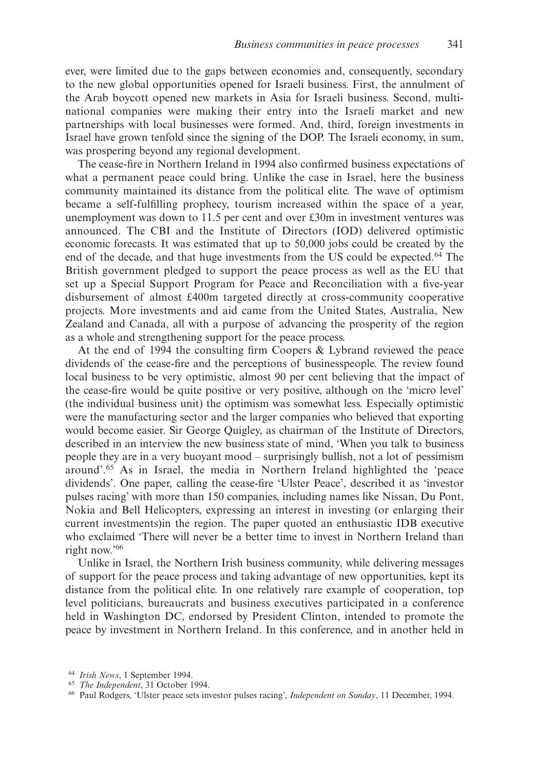ever, were limited due to the gaps between economies and, consequently, secondary to the new global opportunities opened for Israeli business. First, the annulment of the Arab boycott opened new markets in Asia for Israeli business. Second, multinational companies were making their entry into the Israeli market and new partnerships with local businesses were formed. And, third, foreign investments in Israel have grown tenfold since the signing of the DOP. The Israeli economy, in sum, was prospering beyond any regional development.

The cease-fire in Northern Ireland in 1994 also confirmed business expectations of what a permanent peace could bring. Unlike the case in Israel, here the business community maintained its distance from the political elite. The wave of optimism became a self-fulfilling prophecy, tourism increased within the space of a year, unemployment was down to 11.5 per cent and over £30m in investment ventures was announced. The CBI and the Institute of Directors (IOD) delivered optimistic economic forecasts. It was estimated that up to 50,000 jobs could be created by the end of the decade, and that huge investments from the US could be expected.64 The British government pledged to support the peace process as well as the EU that set up a Special Support Program for Peace and Reconciliation with a five-year disbursement of almost £400m targeted directly at cross-community cooperative projects. More investments and aid came from the United States, Australia, New Zealand and Canada, all with a purpose of advancing the prosperity of the region as a whole and strengthening support for the peace process.

At the end of 1994 the consulting firm Coopers & Lybrand reviewed the peace dividends of the cease-fire and the perceptions of businesspeople. The review found local business to be very optimistic, almost 90 per cent believing that the impact of the cease-fire would be quite positive or very positive, although on the 'micro level' (the individual business unit) the optimism was somewhat less. Especially optimistic were the manufacturing sector and the larger companies who believed that exporting would become easier. Sir George Quigley, as chairman of the Institute of Directors, described in an interview the new business state of mind, 'When you talk to business people they are in a very buoyant mood – surprisingly bullish, not a lot of pessimism around'.65 As in Israel, the media in Northern Ireland highlighted the 'peace dividends'. One paper, calling the cease-fire 'Ulster Peace', described it as 'investor pulses racing' with more than 150 companies, including names like Nissan, Du Pont, Nokia and Bell Helicopters, expressing an interest in investing (or enlarging their current investments)in the region. The paper quoted an enthusiastic IDB executive who exclaimed 'There will never be a better time to invest in Northern Ireland than right now.'66

Unlike in Israel, the Northern Irish business community, while delivering messages of support for the peace process and taking advantage of new opportunities, kept its distance from the political elite. In one relatively rare example of cooperation, top level politicians, bureaucrats and business executives participated in a conference held in Washington DC, endorsed by President Clinton, intended to promote the peace by investment in Northern Ireland. In this conference, and in another held in

<sup>64</sup> *Irish News*, 1 September 1994.

<sup>65</sup> *The Independent*, 31 October 1994.

<sup>66</sup> Paul Rodgers, 'Ulster peace sets investor pulses racing', *Independent on Sunday*, 11 December, 1994.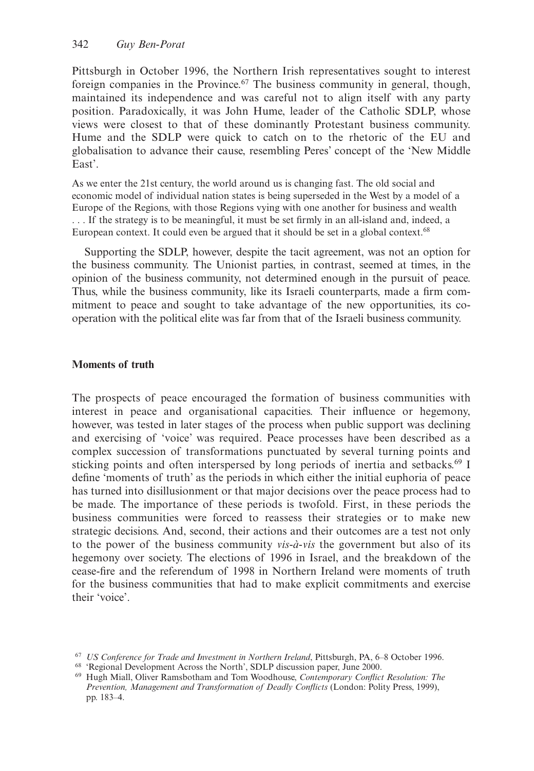Pittsburgh in October 1996, the Northern Irish representatives sought to interest foreign companies in the Province.67 The business community in general, though, maintained its independence and was careful not to align itself with any party position. Paradoxically, it was John Hume, leader of the Catholic SDLP, whose views were closest to that of these dominantly Protestant business community. Hume and the SDLP were quick to catch on to the rhetoric of the EU and globalisation to advance their cause, resembling Peres' concept of the 'New Middle East'.

As we enter the 21st century, the world around us is changing fast. The old social and economic model of individual nation states is being superseded in the West by a model of a Europe of the Regions, with those Regions vying with one another for business and wealth . . . If the strategy is to be meaningful, it must be set firmly in an all-island and, indeed, a European context. It could even be argued that it should be set in a global context.68

Supporting the SDLP, however, despite the tacit agreement, was not an option for the business community. The Unionist parties, in contrast, seemed at times, in the opinion of the business community, not determined enough in the pursuit of peace. Thus, while the business community, like its Israeli counterparts, made a firm commitment to peace and sought to take advantage of the new opportunities, its cooperation with the political elite was far from that of the Israeli business community.

# **Moments of truth**

The prospects of peace encouraged the formation of business communities with interest in peace and organisational capacities. Their influence or hegemony, however, was tested in later stages of the process when public support was declining and exercising of 'voice' was required. Peace processes have been described as a complex succession of transformations punctuated by several turning points and sticking points and often interspersed by long periods of inertia and setbacks.<sup>69</sup> I define 'moments of truth' as the periods in which either the initial euphoria of peace has turned into disillusionment or that major decisions over the peace process had to be made. The importance of these periods is twofold. First, in these periods the business communities were forced to reassess their strategies or to make new strategic decisions. And, second, their actions and their outcomes are a test not only to the power of the business community *vis-à-vis* the government but also of its hegemony over society. The elections of 1996 in Israel, and the breakdown of the cease-fire and the referendum of 1998 in Northern Ireland were moments of truth for the business communities that had to make explicit commitments and exercise their 'voice'.

<sup>67</sup> *US Conference for Trade and Investment in Northern Ireland*, Pittsburgh, PA, 6–8 October 1996.

<sup>68</sup> 'Regional Development Across the North', SDLP discussion paper, June 2000.

<sup>69</sup> Hugh Miall, Oliver Ramsbotham and Tom Woodhouse, *Contemporary Conflict Resolution: The Prevention, Management and Transformation of Deadly Conflicts* (London: Polity Press, 1999), pp. 183–4.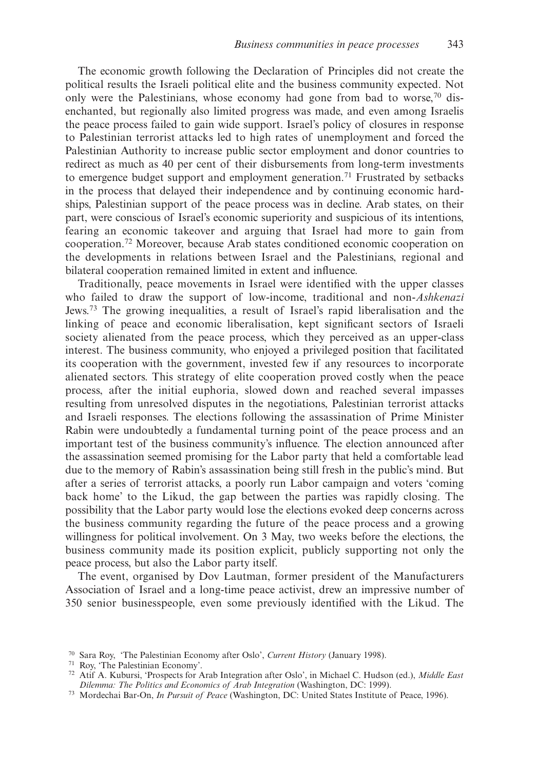The economic growth following the Declaration of Principles did not create the political results the Israeli political elite and the business community expected. Not only were the Palestinians, whose economy had gone from bad to worse,<sup>70</sup> disenchanted, but regionally also limited progress was made, and even among Israelis the peace process failed to gain wide support. Israel's policy of closures in response to Palestinian terrorist attacks led to high rates of unemployment and forced the Palestinian Authority to increase public sector employment and donor countries to redirect as much as 40 per cent of their disbursements from long-term investments to emergence budget support and employment generation.<sup>71</sup> Frustrated by setbacks in the process that delayed their independence and by continuing economic hardships, Palestinian support of the peace process was in decline. Arab states, on their part, were conscious of Israel's economic superiority and suspicious of its intentions, fearing an economic takeover and arguing that Israel had more to gain from cooperation.72 Moreover, because Arab states conditioned economic cooperation on the developments in relations between Israel and the Palestinians, regional and bilateral cooperation remained limited in extent and influence.

Traditionally, peace movements in Israel were identified with the upper classes who failed to draw the support of low-income, traditional and non-*Ashkenazi* Jews.73 The growing inequalities, a result of Israel's rapid liberalisation and the linking of peace and economic liberalisation, kept significant sectors of Israeli society alienated from the peace process, which they perceived as an upper-class interest. The business community, who enjoyed a privileged position that facilitated its cooperation with the government, invested few if any resources to incorporate alienated sectors. This strategy of elite cooperation proved costly when the peace process, after the initial euphoria, slowed down and reached several impasses resulting from unresolved disputes in the negotiations, Palestinian terrorist attacks and Israeli responses. The elections following the assassination of Prime Minister Rabin were undoubtedly a fundamental turning point of the peace process and an important test of the business community's influence. The election announced after the assassination seemed promising for the Labor party that held a comfortable lead due to the memory of Rabin's assassination being still fresh in the public's mind. But after a series of terrorist attacks, a poorly run Labor campaign and voters 'coming back home' to the Likud, the gap between the parties was rapidly closing. The possibility that the Labor party would lose the elections evoked deep concerns across the business community regarding the future of the peace process and a growing willingness for political involvement. On 3 May, two weeks before the elections, the business community made its position explicit, publicly supporting not only the peace process, but also the Labor party itself.

The event, organised by Dov Lautman, former president of the Manufacturers Association of Israel and a long-time peace activist, drew an impressive number of 350 senior businesspeople, even some previously identified with the Likud. The

<sup>70</sup> Sara Roy, 'The Palestinian Economy after Oslo', *Current History* (January 1998).

<sup>71</sup> Roy, 'The Palestinian Economy'.

<sup>72</sup> Atif A. Kubursi, 'Prospects for Arab Integration after Oslo', in Michael C. Hudson (ed.), *Middle East Dilemma: The Politics and Economics of Arab Integration* (Washington, DC: 1999).

<sup>73</sup> Mordechai Bar-On, *In Pursuit of Peace* (Washington, DC: United States Institute of Peace, 1996).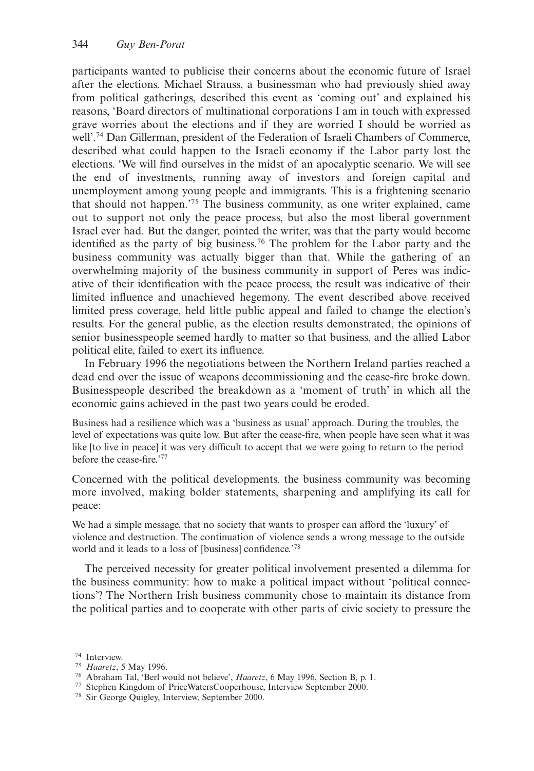participants wanted to publicise their concerns about the economic future of Israel after the elections. Michael Strauss, a businessman who had previously shied away from political gatherings, described this event as 'coming out' and explained his reasons, 'Board directors of multinational corporations I am in touch with expressed grave worries about the elections and if they are worried I should be worried as well'.74 Dan Gillerman, president of the Federation of Israeli Chambers of Commerce, described what could happen to the Israeli economy if the Labor party lost the elections. 'We will find ourselves in the midst of an apocalyptic scenario. We will see the end of investments, running away of investors and foreign capital and unemployment among young people and immigrants. This is a frightening scenario that should not happen.'75 The business community, as one writer explained, came out to support not only the peace process, but also the most liberal government Israel ever had. But the danger, pointed the writer, was that the party would become identified as the party of big business.<sup>76</sup> The problem for the Labor party and the business community was actually bigger than that. While the gathering of an overwhelming majority of the business community in support of Peres was indicative of their identification with the peace process, the result was indicative of their limited influence and unachieved hegemony. The event described above received limited press coverage, held little public appeal and failed to change the election's results. For the general public, as the election results demonstrated, the opinions of senior businesspeople seemed hardly to matter so that business, and the allied Labor political elite, failed to exert its influence.

In February 1996 the negotiations between the Northern Ireland parties reached a dead end over the issue of weapons decommissioning and the cease-fire broke down. Businesspeople described the breakdown as a 'moment of truth' in which all the economic gains achieved in the past two years could be eroded.

Business had a resilience which was a 'business as usual' approach. During the troubles, the level of expectations was quite low. But after the cease-fire, when people have seen what it was like [to live in peace] it was very difficult to accept that we were going to return to the period before the cease-fire.'77

Concerned with the political developments, the business community was becoming more involved, making bolder statements, sharpening and amplifying its call for peace:

We had a simple message, that no society that wants to prosper can afford the 'luxury' of violence and destruction. The continuation of violence sends a wrong message to the outside world and it leads to a loss of [business] confidence.'78

The perceived necessity for greater political involvement presented a dilemma for the business community: how to make a political impact without 'political connections'? The Northern Irish business community chose to maintain its distance from the political parties and to cooperate with other parts of civic society to pressure the

<sup>74</sup> Interview.

<sup>75</sup> *Haaretz*, 5 May 1996.

<sup>76</sup> Abraham Tal, 'Berl would not believe', *Haaretz*, 6 May 1996, Section B, p. 1.

<sup>77</sup> Stephen Kingdom of PriceWatersCooperhouse, Interview September 2000.

<sup>78</sup> Sir George Quigley, Interview, September 2000.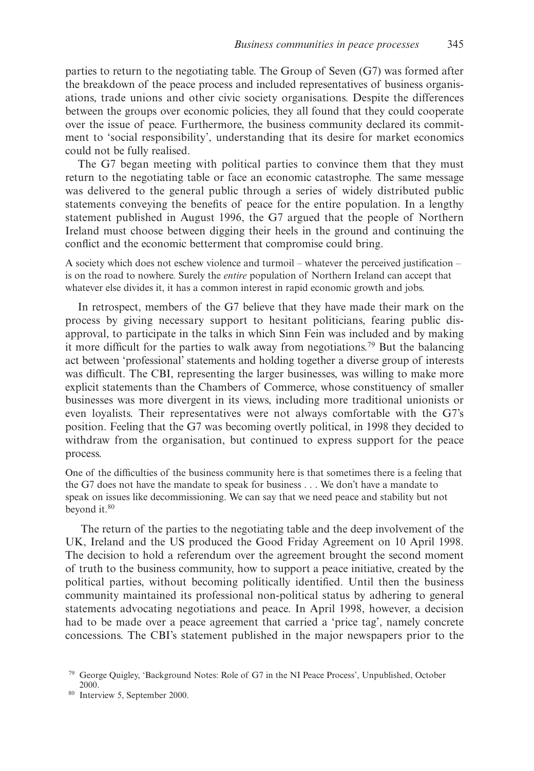parties to return to the negotiating table. The Group of Seven (G7) was formed after the breakdown of the peace process and included representatives of business organisations, trade unions and other civic society organisations. Despite the differences between the groups over economic policies, they all found that they could cooperate over the issue of peace. Furthermore, the business community declared its commitment to 'social responsibility', understanding that its desire for market economics could not be fully realised.

The G7 began meeting with political parties to convince them that they must return to the negotiating table or face an economic catastrophe. The same message was delivered to the general public through a series of widely distributed public statements conveying the benefits of peace for the entire population. In a lengthy statement published in August 1996, the G7 argued that the people of Northern Ireland must choose between digging their heels in the ground and continuing the conflict and the economic betterment that compromise could bring.

A society which does not eschew violence and turmoil – whatever the perceived justification – is on the road to nowhere. Surely the *entire* population of Northern Ireland can accept that whatever else divides it, it has a common interest in rapid economic growth and jobs.

In retrospect, members of the G7 believe that they have made their mark on the process by giving necessary support to hesitant politicians, fearing public disapproval, to participate in the talks in which Sinn Fein was included and by making it more difficult for the parties to walk away from negotiations.<sup>79</sup> But the balancing act between 'professional' statements and holding together a diverse group of interests was difficult. The CBI, representing the larger businesses, was willing to make more explicit statements than the Chambers of Commerce, whose constituency of smaller businesses was more divergent in its views, including more traditional unionists or even loyalists. Their representatives were not always comfortable with the G7's position. Feeling that the G7 was becoming overtly political, in 1998 they decided to withdraw from the organisation, but continued to express support for the peace process.

One of the difficulties of the business community here is that sometimes there is a feeling that the G7 does not have the mandate to speak for business . . . We don't have a mandate to speak on issues like decommissioning. We can say that we need peace and stability but not beyond it.<sup>80</sup>

The return of the parties to the negotiating table and the deep involvement of the UK, Ireland and the US produced the Good Friday Agreement on 10 April 1998. The decision to hold a referendum over the agreement brought the second moment of truth to the business community, how to support a peace initiative, created by the political parties, without becoming politically identified. Until then the business community maintained its professional non-political status by adhering to general statements advocating negotiations and peace. In April 1998, however, a decision had to be made over a peace agreement that carried a 'price tag', namely concrete concessions. The CBI's statement published in the major newspapers prior to the

<sup>79</sup> George Quigley, 'Background Notes: Role of G7 in the NI Peace Process', Unpublished, October 2000.

<sup>80</sup> Interview 5, September 2000.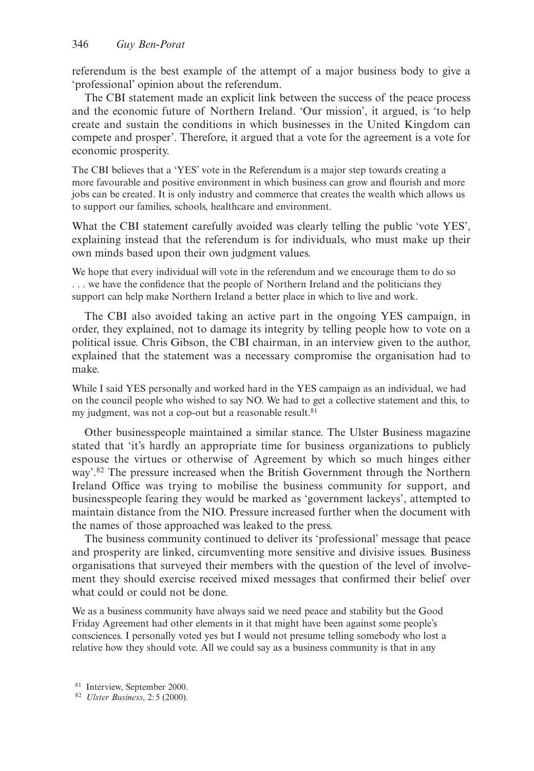referendum is the best example of the attempt of a major business body to give a 'professional' opinion about the referendum.

The CBI statement made an explicit link between the success of the peace process and the economic future of Northern Ireland. 'Our mission', it argued, is 'to help create and sustain the conditions in which businesses in the United Kingdom can compete and prosper'. Therefore, it argued that a vote for the agreement is a vote for economic prosperity.

The CBI believes that a 'YES' vote in the Referendum is a major step towards creating a more favourable and positive environment in which business can grow and flourish and more jobs can be created. It is only industry and commerce that creates the wealth which allows us to support our families, schools, healthcare and environment.

What the CBI statement carefully avoided was clearly telling the public 'vote YES', explaining instead that the referendum is for individuals, who must make up their own minds based upon their own judgment values.

We hope that every individual will vote in the referendum and we encourage them to do so . . . we have the confidence that the people of Northern Ireland and the politicians they support can help make Northern Ireland a better place in which to live and work.

The CBI also avoided taking an active part in the ongoing YES campaign, in order, they explained, not to damage its integrity by telling people how to vote on a political issue. Chris Gibson, the CBI chairman, in an interview given to the author, explained that the statement was a necessary compromise the organisation had to make.

While I said YES personally and worked hard in the YES campaign as an individual, we had on the council people who wished to say NO. We had to get a collective statement and this, to my judgment, was not a cop-out but a reasonable result.<sup>81</sup>

Other businesspeople maintained a similar stance. The Ulster Business magazine stated that 'it's hardly an appropriate time for business organizations to publicly espouse the virtues or otherwise of Agreement by which so much hinges either way'.82 The pressure increased when the British Government through the Northern Ireland Office was trying to mobilise the business community for support, and businesspeople fearing they would be marked as 'government lackeys', attempted to maintain distance from the NIO. Pressure increased further when the document with the names of those approached was leaked to the press.

The business community continued to deliver its 'professional' message that peace and prosperity are linked, circumventing more sensitive and divisive issues. Business organisations that surveyed their members with the question of the level of involvement they should exercise received mixed messages that confirmed their belief over what could or could not be done.

We as a business community have always said we need peace and stability but the Good Friday Agreement had other elements in it that might have been against some people's consciences. I personally voted yes but I would not presume telling somebody who lost a relative how they should vote. All we could say as a business community is that in any

<sup>81</sup> Interview, September 2000.

<sup>82</sup> *Ulster Business*, 2:5 (2000).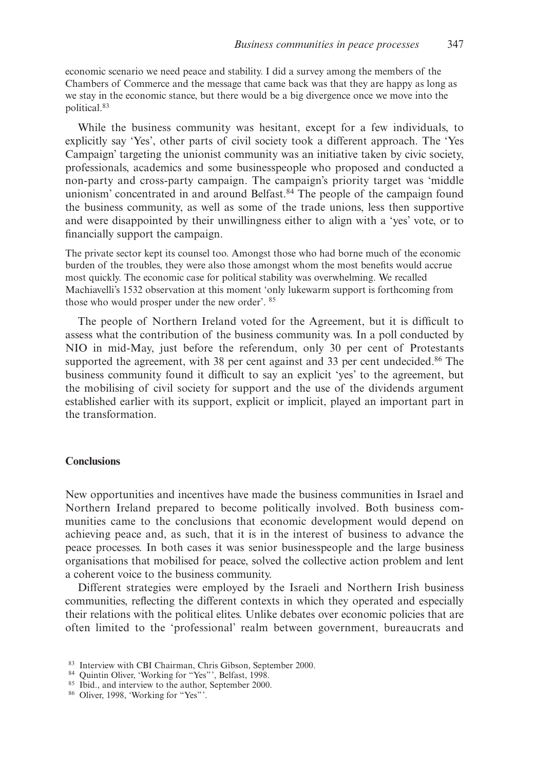economic scenario we need peace and stability. I did a survey among the members of the Chambers of Commerce and the message that came back was that they are happy as long as we stay in the economic stance, but there would be a big divergence once we move into the political.83

While the business community was hesitant, except for a few individuals, to explicitly say 'Yes', other parts of civil society took a different approach. The 'Yes Campaign' targeting the unionist community was an initiative taken by civic society, professionals, academics and some businesspeople who proposed and conducted a non-party and cross-party campaign. The campaign's priority target was 'middle unionism' concentrated in and around Belfast.<sup>84</sup> The people of the campaign found the business community, as well as some of the trade unions, less then supportive and were disappointed by their unwillingness either to align with a 'yes' vote, or to financially support the campaign.

The private sector kept its counsel too. Amongst those who had borne much of the economic burden of the troubles, they were also those amongst whom the most benefits would accrue most quickly. The economic case for political stability was overwhelming. We recalled Machiavelli's 1532 observation at this moment 'only lukewarm support is forthcoming from those who would prosper under the new order'. <sup>85</sup>

The people of Northern Ireland voted for the Agreement, but it is difficult to assess what the contribution of the business community was. In a poll conducted by NIO in mid-May, just before the referendum, only 30 per cent of Protestants supported the agreement, with 38 per cent against and 33 per cent undecided. $86$  The business community found it difficult to say an explicit 'yes' to the agreement, but the mobilising of civil society for support and the use of the dividends argument established earlier with its support, explicit or implicit, played an important part in the transformation.

# **Conclusions**

New opportunities and incentives have made the business communities in Israel and Northern Ireland prepared to become politically involved. Both business communities came to the conclusions that economic development would depend on achieving peace and, as such, that it is in the interest of business to advance the peace processes. In both cases it was senior businesspeople and the large business organisations that mobilised for peace, solved the collective action problem and lent a coherent voice to the business community.

Different strategies were employed by the Israeli and Northern Irish business communities, reflecting the different contexts in which they operated and especially their relations with the political elites. Unlike debates over economic policies that are often limited to the 'professional' realm between government, bureaucrats and

<sup>83</sup> Interview with CBI Chairman, Chris Gibson, September 2000.

<sup>84</sup> Quintin Oliver, 'Working for "Yes"', Belfast, 1998.

<sup>&</sup>lt;sup>85</sup> Ibid., and interview to the author, September 2000.

<sup>86</sup> Oliver, 1998, 'Working for "Yes"'.